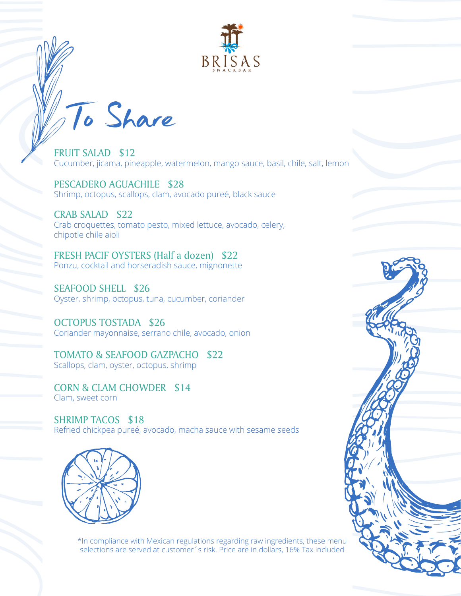

To Share

FRUIT SALAD \$12 Cucumber, jicama, pineapple, watermelon, mango sauce, basil, chile, salt, lemon

PESCADERO AGUACHILE \$28 Shrimp, octopus, scallops, clam, avocado pureé, black sauce

CRAB SALAD \$22 Crab croquettes, tomato pesto, mixed lettuce, avocado, celery, chipotle chile aioli

FRESH PACIF OYSTERS (Half a dozen) \$22 Ponzu, cocktail and horseradish sauce, mignonette

SEAFOOD SHELL \$26 Oyster, shrimp, octopus, tuna, cucumber, coriander

OCTOPUS TOSTADA \$26 Coriander mayonnaise, serrano chile, avocado, onion

TOMATO & SEAFOOD GAZPACHO \$22 Scallops, clam, oyster, octopus, shrimp

CORN & CLAM CHOWDER \$14 Clam, sweet corn

SHRIMP TACOS \$18 Refried chickpea pureé, avocado, macha sauce with sesame seeds



\*In compliance with Mexican regulations regarding raw ingredients, these menu selections are served at customer´s risk. Price are in dollars, 16% Tax included